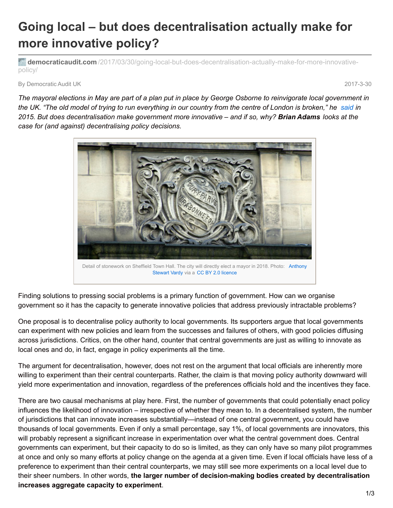## **Going local – but does decentralisation actually make for more innovative policy?**

**democraticaudit.com** [/2017/03/30/going-local-but-does-decentralisation-actually-make-for-more-innovative](http://www.democraticaudit.com/2017/03/30/going-local-but-does-decentralisation-actually-make-for-more-innovative-policy/)policy/

By Democratic Audit UK 2017-3-30

The mayoral elections in May are part of a plan put in place by George Osborne to reinvigorate local government in the UK. "The old model of trying to run everything in our country from the centre of London is broken," he [said](https://www.theguardian.com/politics/2015/may/14/george-osborne-invites-cities-to-follow-manchester-route-to-devolution) in 2015. But does decentralisation make government more innovative – and if so, why? Brian Adams looks at the *case for (and against) decentralising policy decisions.*



Finding solutions to pressing social problems is a primary function of government. How can we organise government so it has the capacity to generate innovative policies that address previously intractable problems?

One proposal is to decentralise policy authority to local governments. Its supporters argue that local governments can experiment with new policies and learn from the successes and failures of others, with good policies diffusing across jurisdictions. Critics, on the other hand, counter that central governments are just as willing to innovate as local ones and do, in fact, engage in policy experiments all the time.

The argument for decentralisation, however, does not rest on the argument that local officials are inherently more willing to experiment than their central counterparts. Rather, the claim is that moving policy authority downward will yield more experimentation and innovation, regardless of the preferences officials hold and the incentives they face.

There are two causal mechanisms at play here. First, the number of governments that could potentially enact policy influences the likelihood of innovation – irrespective of whether they mean to. In a decentralised system, the number of jurisdictions that can innovate increases substantially—instead of one central government, you could have thousands of local governments. Even if only a small percentage, say 1%, of local governments are innovators, this will probably represent a significant increase in experimentation over what the central government does. Central governments can experiment, but their capacity to do so is limited, as they can only have so many pilot programmes at once and only so many efforts at policy change on the agenda at a given time. Even if local officials have less of a preference to experiment than their central counterparts, we may still see more experiments on a local level due to their sheer numbers. In other words, **the larger number of decision-making bodies created by decentralisation increases aggregate capacity to experiment**.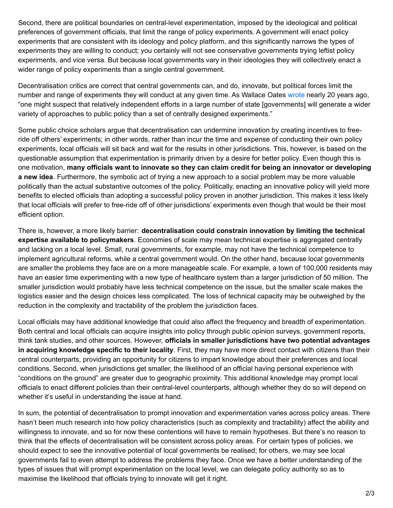Second, there are political boundaries on central-level experimentation, imposed by the ideological and political preferences of government officials, that limit the range of policy experiments. A government will enact policy experiments that are consistent with its ideology and policy platform, and this significantly narrows the types of experiments they are willing to conduct; you certainly will not see conservative governments trying leftist policy experiments, and vice versa. But because local governments vary in their ideologies they will collectively enact a wider range of policy experiments than a single central government.

Decentralisation critics are correct that central governments can, and do, innovate, but political forces limit the number and range of experiments they will conduct at any given time. As Wallace Oates [wrote](http://econweb.umd.edu/~oates/research/fiscalfederalism.pdf) nearly 20 years ago, "one might suspect that relatively independent efforts in a large number of state [governments] will generate a wider variety of approaches to public policy than a set of centrally designed experiments."

Some public choice scholars argue that decentralisation can undermine innovation by creating incentives to freeride off others' experiments; in other words, rather than incur the time and expense of conducting their own policy experiments, local officials will sit back and wait for the results in other jurisdictions. This, however, is based on the questionable assumption that experimentation is primarily driven by a desire for better policy. Even though this is one motivation, **many officials want to innovate so they can claim credit for being an innovator or developing a new idea**. Furthermore, the symbolic act of trying a new approach to a social problem may be more valuable politically than the actual substantive outcomes of the policy. Politically, enacting an innovative policy will yield more benefits to elected officials than adopting a successful policy proven in another jurisdiction. This makes it less likely that local officials will prefer to free-ride off of other jurisdictions' experiments even though that would be their most efficient option.

There is, however, a more likely barrier: **decentralisation could constrain innovation by limiting the technical expertise available to policymakers**. Economies of scale may mean technical expertise is aggregated centrally and lacking on a local level. Small, rural governments, for example, may not have the technical competence to implement agricultural reforms, while a central government would. On the other hand, because local governments are smaller the problems they face are on a more manageable scale. For example, a town of 100,000 residents may have an easier time experimenting with a new type of healthcare system than a larger jurisdiction of 50 million. The smaller jurisdiction would probably have less technical competence on the issue, but the smaller scale makes the logistics easier and the design choices less complicated. The loss of technical capacity may be outweighed by the reduction in the complexity and tractability of the problem the jurisdiction faces.

Local officials may have additional knowledge that could also affect the frequency and breadth of experimentation. Both central and local officials can acquire insights into policy through public opinion surveys, government reports, think tank studies, and other sources. However, **officials in smaller jurisdictions have two potential advantages in acquiring knowledge specific to their locality**. First, they may have more direct contact with citizens than their central counterparts, providing an opportunity for citizens to impart knowledge about their preferences and local conditions. Second, when jurisdictions get smaller, the likelihood of an official having personal experience with "conditions on the ground" are greater due to geographic proximity. This additional knowledge may prompt local officials to enact different policies than their central-level counterparts, although whether they do so will depend on whether it's useful in understanding the issue at hand.

In sum, the potential of decentralisation to prompt innovation and experimentation varies across policy areas. There hasn't been much research into how policy characteristics (such as complexity and tractability) affect the ability and willingness to innovate, and so for now these contentions will have to remain hypotheses. But there's no reason to think that the effects of decentralisation will be consistent across policy areas. For certain types of policies, we should expect to see the innovative potential of local governments be realised; for others, we may see local governments fail to even attempt to address the problems they face. Once we have a better understanding of the types of issues that will prompt experimentation on the local level, we can delegate policy authority so as to maximise the likelihood that officials trying to innovate will get it right.